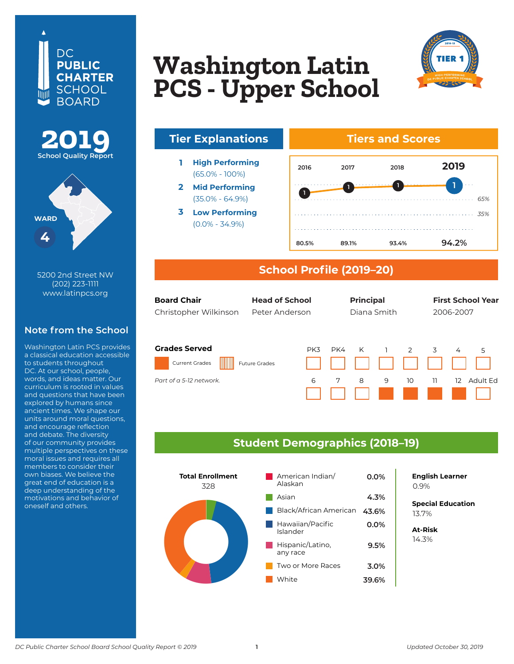





**410 8th Street NW** 5200 2nd Street NW **Washington, DC 20004** www.latinpcs.org (202) 223-1111

#### **Note from the School**

to students throughout DC. At our school, people, words, and ideas matter. Our curriculum is rooted in values<br>curl musstiese that have have and questions that have been<br>explored by humans since expressed by transmitted incent<br>ancient times. We shape our units around moral questions, and encourage reflection and debate. The diversity of our community provides multiple perspectives on these morarissues and requires ar<br>members to consider their members to consider them<br>own biases. We believe the great end of education is a deep understanding of the motivations and behavior of oneself and others. Washington Latin PCS provides a classical education accessible and questions that have been moral issues and requires all

# **BASIS DC PCS Washington Latin PCS - Upper School**





- **1 High Performing** (65.0% - 100%)
- **2 Mid Performing** (35.0% - 64.9%)
- **3 Low Performing** (0.0% - 34.9%)

#### **Tiers and Scores**



### **School Profile (2019–20)**

| <b>Board Chair</b><br>Christopher Wilkinson   | <b>Head of School</b><br>Peter Anderson |     | <b>Principal</b> | Diana Smith |    |    | 2006-2007 | <b>First School Year</b> |
|-----------------------------------------------|-----------------------------------------|-----|------------------|-------------|----|----|-----------|--------------------------|
| <b>Grades Served</b><br><b>Current Grades</b> | PK3<br><b>Future Grades</b>             | PK4 | K                |             | 2  | 3  | 4         | 5                        |
| Part of a 5-12 network.                       | 6                                       | 7   | 8                | 9           | 10 | 11 | 12        | Adult Fd                 |

#### **Student Demographics (2018–19)**



**8.4% English Learner** 0.9%

**Special Education** 5.0% 13.7%

**At-Risk** 8.5% 14.3%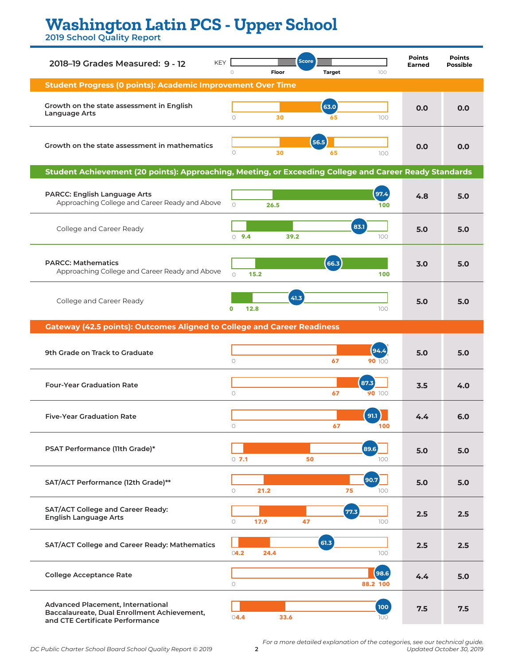## **Washington Latin PCS - Upper School**

**2019 School Quality Report**

| <b>KEY</b><br>2018-19 Grades Measured: 9 - 12                                                                       | Score<br>$\circ$<br>Floor<br><b>Target</b><br>100 | <b>Points</b><br><b>Earned</b> | <b>Points</b><br><b>Possible</b> |
|---------------------------------------------------------------------------------------------------------------------|---------------------------------------------------|--------------------------------|----------------------------------|
| <b>Student Progress (0 points): Academic Improvement Over Time</b>                                                  |                                                   |                                |                                  |
| Growth on the state assessment in English<br>Language Arts                                                          | 63.0<br>$\bigcap$<br>30<br>100<br>65              | 0.0                            | 0.0                              |
| Growth on the state assessment in mathematics                                                                       | 56.5<br>$\circ$<br>30<br>65<br>100                | 0.0                            | 0.0                              |
| Student Achievement (20 points): Approaching, Meeting, or Exceeding College and Career Ready Standards              |                                                   |                                |                                  |
| PARCC: English Language Arts<br>Approaching College and Career Ready and Above                                      | 97.4<br>$\bigcap$<br>26.5<br>100                  | 4.8                            | 5.0                              |
| College and Career Ready                                                                                            | 83.1<br>$0$ 9.4<br>39.2<br>100                    | 5.0                            | 5.0                              |
| <b>PARCC: Mathematics</b><br>Approaching College and Career Ready and Above                                         | 66.3<br>$\bigcap$<br>100<br>15.2                  | 3.0                            | 5.0                              |
| College and Career Ready                                                                                            | 41.3<br>$\mathbf 0$<br>12.8<br>100                | 5.0                            | 5.0                              |
| <b>Gateway (42.5 points): Outcomes Aligned to College and Career Readiness</b>                                      |                                                   |                                |                                  |
| 9th Grade on Track to Graduate                                                                                      | 94.4<br>$\circ$<br>67<br>90 100                   | 5.0                            | 5.0                              |
| <b>Four-Year Graduation Rate</b>                                                                                    | 87.3<br>$\circ$<br>67<br>90 100                   | 3.5                            | 4.0                              |
| <b>Five-Year Graduation Rate</b>                                                                                    | 91.1<br>67<br>0                                   | 4.4                            | 6.0                              |
| PSAT Performance (11th Grade)*                                                                                      | 89.6<br>$0$ 7.1<br>50<br>100                      | 5.0                            | 5.0                              |
| SAT/ACT Performance (12th Grade)**                                                                                  | 90.7<br>$\circ$<br>21.2<br>75<br>100              | 5.0                            | 5.0                              |
| SAT/ACT College and Career Ready:<br><b>English Language Arts</b>                                                   | 77.3<br>$\circ$<br>17.9<br>47<br>100              | 2.5                            | 2.5                              |
| SAT/ACT College and Career Ready: Mathematics                                                                       | 61.3<br>04.2<br>24.4<br>100                       | 2.5                            | 2.5                              |
| <b>College Acceptance Rate</b>                                                                                      | (98.6)<br>88.2 100<br>0                           | 4.4                            | 5.0                              |
| Advanced Placement, International<br>Baccalaureate, Dual Enrollment Achievement,<br>and CTE Certificate Performance | 100<br>04.4<br>33.6<br>100                        | 7.5                            | 7.5                              |